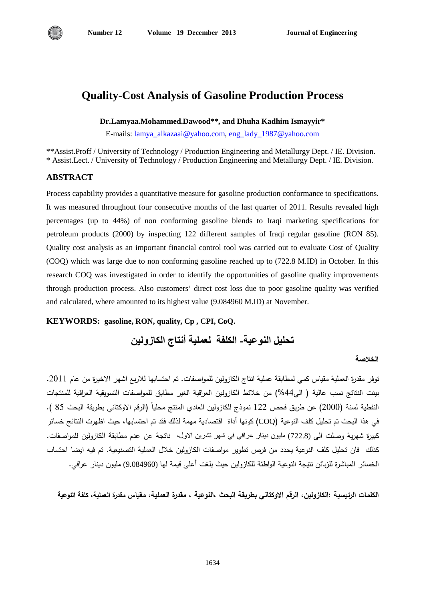

# **Quality-Cost Analysis of Gasoline Production Process**

**Dr.Lamyaa.Mohammed.Dawood\*\*, and Dhuha Kadhim Ismayyir\***

E-mails: [lamya\\_alkazaai@yahoo.com,](mailto:lamya_alkazaai@yahoo.com) [eng\\_lady\\_1987@yahoo.com](mailto:eng_lady_1987@yahoo.com)

\*\*Assist.Proff / University of Technology / Production Engineering and Metallurgy Dept. / IE. Division. \* Assist.Lect. / University of Technology / Production Engineering and Metallurgy Dept. / IE. Division.

## **ABSTRACT**

Process capability provides a quantitative measure for gasoline production conformance to specifications. It was measured throughout four consecutive months of the last quarter of 2011. Results revealed high percentages (up to 44%) of non conforming gasoline blends to Iraqi marketing specifications for petroleum products (2000) by inspecting 122 different samples of Iraqi regular gasoline (RON 85). Quality cost analysis as an important financial control tool was carried out to evaluate Cost of Quality (COQ) which was large due to non conforming gasoline reached up to (722.8 M.ID) in October. In this research COQ was investigated in order to identify the opportunities of gasoline quality improvements through production process. Also customers' direct cost loss due to poor gasoline quality was verified and calculated, where amounted to its highest value (9.084960 M.ID) at November.

#### **KEYWORDS: gasoline, RON, quality, Cp , CPI, CoQ.**

**تحليل النوعية- الكلفة لعملية أنتاج الكازولين**

#### **الخلاصة**

توفر مقدرة العملية مقياس كمي لمطابقة عملية انتاج الكازولين للمواصفات. تم احتسابها للاربع اشهر الاخيرة من عام 2011. بينت النتائج نسب عالية ( الى%44) من خلائط الكازولين العراقية الغير مطابق للمواصفات التسويقية العراقية للمنتجات النفطية لسنة (2000) عن طريق فحص 122 نموذج للكازولين العادي المنتج محليا (الرقم الاوكتاني بطريقة البحث 85 ). في هذا البحث تم تحليل كلف النوعية (COQ (كونها أداة اقتصادية مهمة لذلك فقد تم احتسابها، حيث اظهرت النتائج خسائر كبيرة شهرية وصلت الى (722.8) مليون دينار عراقي في شهر تشرين الاول، ناتجة عن عدم مطابقة الكازولين للمواصفات. كذلك فان تحليل كلف النوعية يحدد من فرص تطوير مواصفات الكازولين خلال العملية التصنيعية. تم فيه ايضا احتساب الخسائر المباشرة للزبائن نتيجة النوعية الواطئة للكاز ولين حيث بلغت أعلى قيمة لها (9.084960) مليون دينار عراقي.

**الكلمات الرئيسية :الكازولين، الرقم الاوكتاني بطريقة البحث ،النوعية ، مقدرة العملية، مقياس مقدرة العملية، كلفة النوعية**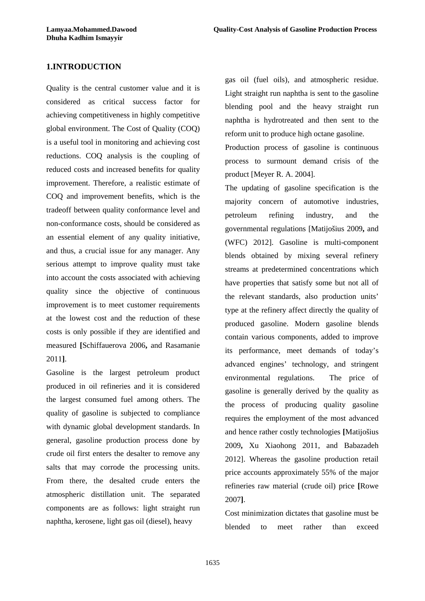## **1.INTRODUCTION**

Quality is the central customer value and it is considered as critical success factor for achieving competitiveness in highly competitive global environment. The Cost of Quality (COQ) is a useful tool in monitoring and achieving cost reductions. COQ analysis is the coupling of reduced costs and increased benefits for quality improvement. Therefore, a realistic estimate of COQ and improvement benefits, which is the tradeoff between quality conformance level and non-conformance costs, should be considered as an essential element of any quality initiative, and thus, a crucial issue for any manager. Any serious attempt to improve quality must take into account the costs associated with achieving quality since the objective of continuous improvement is to meet customer requirements at the lowest cost and the reduction of these costs is only possible if they are identified and measured **[**Schiffauerova 2006**,** and Rasamanie 2011**]**.

Gasoline is the largest petroleum product produced in oil refineries and it is considered the largest consumed fuel among others. The quality of gasoline is subjected to compliance with dynamic global development standards. In general, gasoline production process done by crude oil first enters the desalter to remove any salts that may corrode the processing units. From there, the desalted crude enters the atmospheric distillation unit. The separated components are as follows: light straight run naphtha, kerosene, light gas oil (diesel), heavy

gas oil (fuel oils), and atmospheric residue. Light straight run naphtha is sent to the gasoline blending pool and the heavy straight run naphtha is hydrotreated and then sent to the reform unit to produce high octane gasoline.

Production process of gasoline is continuous process to surmount demand crisis of the product [Meyer R. A. 2004].

The updating of gasoline specification is the majority concern of automotive industries, petroleum refining industry, and the governmental regulations [Matijošius 2009**,** and (WFC) 2012]. Gasoline is multi-component blends obtained by mixing several refinery streams at predetermined concentrations which have properties that satisfy some but not all of the relevant standards, also production units' type at the refinery affect directly the quality of produced gasoline. Modern gasoline blends contain various components, added to improve its performance, meet demands of today's advanced engines' technology, and stringent environmental regulations. The price of gasoline is generally derived by the quality as the process of producing quality gasoline requires the employment of the most advanced and hence rather costly technologies **[**Matijošius 2009**,** Xu Xiaohong 2011, and Babazadeh 2012]. Whereas the gasoline production retail price accounts approximately 55% of the major refineries raw material (crude oil) price **[**Rowe 2007**]**.

Cost minimization dictates that gasoline must be blended to meet rather than exceed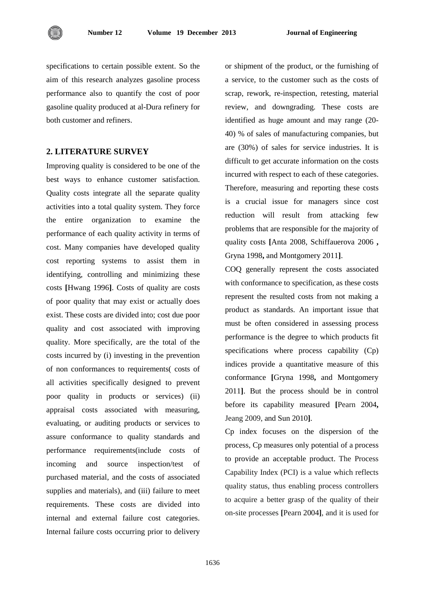

specifications to certain possible extent. So the aim of this research analyzes gasoline process performance also to quantify the cost of poor gasoline quality produced at al-Dura refinery for both customer and refiners.

#### **2. LITERATURE SURVEY**

Improving quality is considered to be one of the best ways to enhance customer satisfaction. Quality costs integrate all the separate quality activities into a total quality system. They force the entire organization to examine the performance of each quality activity in terms of cost. Many companies have developed quality cost reporting systems to assist them in identifying, controlling and minimizing these costs **[**Hwang 1996**]**. Costs of quality are costs of poor quality that may exist or actually does exist. These costs are divided into; cost due poor quality and cost associated with improving quality. More specifically, are the total of the costs incurred by (i) investing in the prevention of non conformances to requirements( costs of all activities specifically designed to prevent poor quality in products or services) (ii) appraisal costs associated with measuring, evaluating, or auditing products or services to assure conformance to quality standards and performance requirements(include costs of incoming and source inspection/test of purchased material, and the costs of associated supplies and materials), and (iii) failure to meet requirements. These costs are divided into internal and external failure cost categories. Internal failure costs occurring prior to delivery

or shipment of the product, or the furnishing of a service, to the customer such as the costs of scrap, rework, re-inspection, retesting, material review, and downgrading. These costs are identified as huge amount and may range (20- 40) % of sales of manufacturing companies, but are (30%) of sales for service industries. It is difficult to get accurate information on the costs incurred with respect to each of these categories. Therefore, measuring and reporting these costs is a crucial issue for managers since cost reduction will result from attacking few problems that are responsible for the majority of quality costs **[**Anta 2008, Schiffauerova 2006 **,**  Gryna 1998**,** and Montgomery 2011**]**.

COQ generally represent the costs associated with conformance to specification, as these costs represent the resulted costs from not making a product as standards. An important issue that must be often considered in assessing process performance is the degree to which products fit specifications where process capability (Cp) indices provide a quantitative measure of this conformance **[**Gryna 1998**,** and Montgomery 2011**]**. But the process should be in control before its capability measured **[**Pearn 2004**,**  Jeang 2009, and Sun 2010**]**.

Cp index focuses on the dispersion of the process, Cp measures only potential of a process to provide an acceptable product. The Process Capability Index (PCI) is a value which reflects quality status, thus enabling process controllers to acquire a better grasp of the quality of their on-site processes **[**Pearn 2004**]**, and it is used for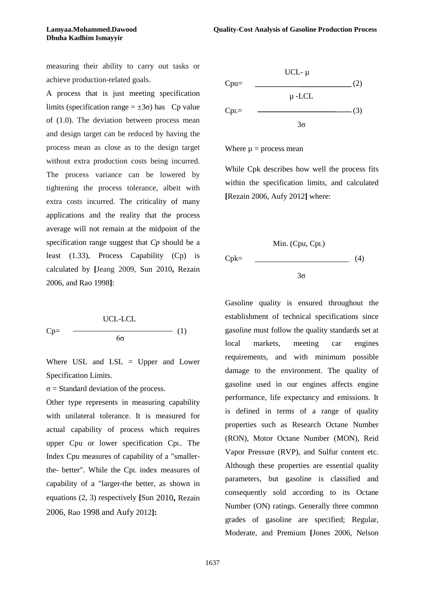measuring their ability to carry out tasks or achieve production-related goals.

A process that is just meeting specification limits (specification range =  $\pm 3\sigma$ ) has Cp value of (1.0). The deviation between process mean and design target can be reduced by having the process mean as close as to the design target without extra production costs being incurred. The process variance can be lowered by tightening the process tolerance, albeit with extra costs incurred. The criticality of many applications and the reality that the process average will not remain at the midpoint of the specification range suggest that *Cp* should be a least (1.33), Process Capability (Cp) is calculated by **[**Jeang 2009, Sun 2010**,** Rezain 2006, and Rao 1998**]**:

$$
Cp = \frac{UCL-LCL}{6\sigma} \tag{1}
$$

Where USL and  $LSL = Upper$  and Lower Specification Limits.

 $\sigma$  = Standard deviation of the process.

Other type represents in measuring capability with unilateral tolerance. It is measured for actual capability of process which requires upper Cpu or lower specification CpL. The Index Cpu measures of capability of a "smallerthe- better". While the CpL index measures of capability of a "larger-the better, as shown in equations (2, 3) respectively **[**Sun 2010**,** Rezain 2006, Rao 1998 and Aufy 2012**]:**



Where  $\mu$  = process mean

While Cpk describes how well the process fits within the specification limits, and calculated **[**Rezain 2006, Aufy 2012**]** where:

$$
Cpk = \frac{\text{Min. (Cpu, Cpl)}}{3\sigma} \tag{4}
$$

Gasoline quality is ensured throughout the establishment of technical specifications since gasoline must follow the quality standards set at local markets, meeting car engines requirements, and with minimum possible damage to the environment. The quality of gasoline used in our engines affects engine performance, life expectancy and emissions. It is defined in terms of a range of quality properties such as Research Octane Number (RON), Motor Octane Number (MON), Reid Vapor Pressure (RVP), and Sulfur content etc. Although these properties are essential quality parameters, but gasoline is classified and consequently sold according to its Octane Number (ON) ratings. Generally three common grades of gasoline are specified; Regular, Moderate, and Premium **[**Jones 2006, Nelson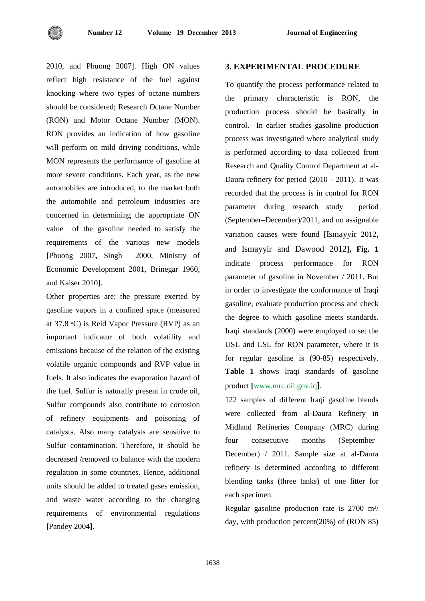

2010, and Phuong 2007]. High ON values reflect high resistance of the fuel against knocking where two types of octane numbers should be considered; Research Octane Number (RON) and Motor Octane Number (MON). RON provides an indication of how gasoline will perform on mild driving conditions, while MON represents the performance of gasoline at more severe conditions. Each year, as the new automobiles are introduced, to the market both the automobile and petroleum industries are concerned in determining the appropriate ON value of the gasoline needed to satisfy the requirements of the various new models **[**Phuong 2007**,** Singh 2000, Ministry of Economic Development 2001, Brinegar 1960, and Kaiser 2010].

Other properties are; the pressure exerted by gasoline vapors in a confined space (measured at 37.8 ᵒC) is Reid Vapor Pressure (RVP) as an important indicator of both volatility and emissions because of the relation of the existing volatile organic compounds and RVP value in fuels. It also indicates the evaporation hazard of the fuel. Sulfur is naturally present in crude oil, Sulfur compounds also contribute to corrosion of refinery equipments and poisoning of catalysts. Also many catalysts are sensitive to Sulfur contamination. Therefore, it should be decreased /removed to balance with the modern regulation in some countries. Hence, additional units should be added to treated gases emission, and waste water according to the changing requirements of environmental regulations **[**Pandey 2004**]**.

## **3. EXPERIMENTAL PROCEDURE**

To quantify the process performance related to the primary characteristic is RON, the production process should be basically in control. In earlier studies gasoline production process was investigated where analytical study is performed according to data collected from Research and Quality Control Department at al-Daura refinery for period (2010 - 2011). It was recorded that the process is in control for RON parameter during research study period (September–December)/2011, and no assignable variation causes were found **[**Ismayyir 2012**,** and Ismayyir and Dawood 2012**], Fig. 1** indicate process performance for RON parameter of gasoline in November / 2011. But in order to investigate the conformance of Iraqi gasoline, evaluate production process and check the degree to which gasoline meets standards. Iraqi standards (2000) were employed to set the USL and LSL for RON parameter, where it is for regular gasoline is (90-85) respectively. **Table 1** shows Iraqi standards of gasoline product **[**www.mrc.oil.gov.iq**]**.

122 samples of different Iraqi gasoline blends were collected from al-Daura Refinery in Midland Refineries Company (MRC) during four consecutive months (September– December) / 2011. Sample size at al-Daura refinery is determined according to different blending tanks (three tanks) of one litter for each specimen.

Regular gasoline production rate is 2700 m<sup>3</sup>/ day, with production percent(20%) of (RON 85)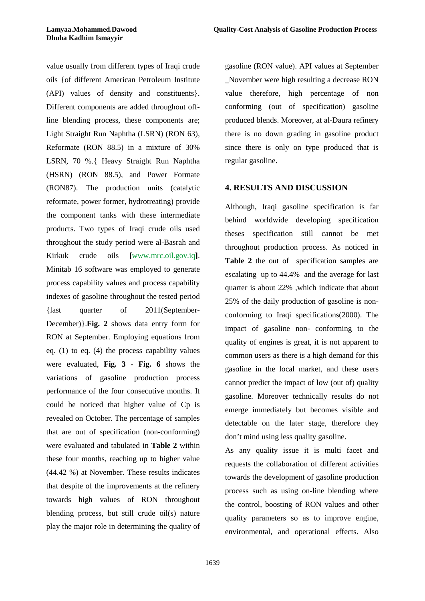value usually from different types of Iraqi crude oils {of different American Petroleum Institute (API) values of density and constituents}. Different components are added throughout offline blending process, these components are; Light Straight Run Naphtha (LSRN) (RON 63), Reformate (RON 88.5) in a mixture of 30% LSRN, 70 %.{ Heavy Straight Run Naphtha (HSRN) (RON 88.5), and Power Formate (RON87). The production units (catalytic reformate, power former, hydrotreating) provide the component tanks with these intermediate products. Two types of Iraqi crude oils used throughout the study period were al-Basrah and Kirkuk crude oils **[**www.mrc.oil.gov.iq**]**. Minitab 16 software was employed to generate process capability values and process capability indexes of gasoline throughout the tested period {last quarter of 2011(September-December)}.**Fig. 2** shows data entry form for RON at September. Employing equations from eq. (1) to eq. (4) the process capability values were evaluated, **Fig. 3 - Fig. 6** shows the variations of gasoline production process performance of the four consecutive months. It could be noticed that higher value of Cp is revealed on October. The percentage of samples that are out of specification (non-conforming) were evaluated and tabulated in **Table 2** within these four months, reaching up to higher value (44.42 %) at November. These results indicates that despite of the improvements at the refinery towards high values of RON throughout blending process, but still crude oil(s) nature play the major role in determining the quality of gasoline (RON value). API values at September \_November were high resulting a decrease RON value therefore, high percentage of non conforming (out of specification) gasoline produced blends. Moreover, at al-Daura refinery there is no down grading in gasoline product since there is only on type produced that is regular gasoline.

#### **4. RESULTS AND DISCUSSION**

Although, Iraqi gasoline specification is far behind worldwide developing specification theses specification still cannot be met throughout production process. As noticed in **Table 2** the out of specification samples are escalating up to 44.4% and the average for last quarter is about 22% ,which indicate that about 25% of the daily production of gasoline is nonconforming to Iraqi specifications(2000). The impact of gasoline non- conforming to the quality of engines is great, it is not apparent to common users as there is a high demand for this gasoline in the local market, and these users cannot predict the impact of low (out of) quality gasoline. Moreover technically results do not emerge immediately but becomes visible and detectable on the later stage, therefore they don't mind using less quality gasoline.

As any quality issue it is multi facet and requests the collaboration of different activities towards the development of gasoline production process such as using on-line blending where the control, boosting of RON values and other quality parameters so as to improve engine, environmental, and operational effects. Also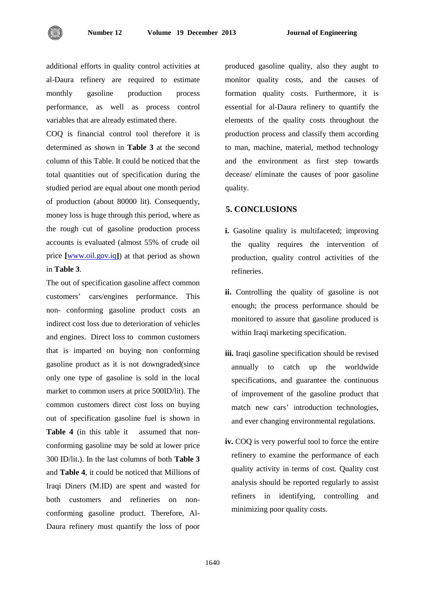additional efforts in quality control activities at al-Daura refinery are required to estimate monthly gasoline production process performance, as well as process control variables that are already estimated there.

COQ is financial control tool therefore it is determined as shown in **Table 3** at the second column of this Table. It could be noticed that the total quantities out of specification during the studied period are equal about one month period of production (about 80000 lit). Consequently, money loss is huge through this period, where as the rough cut of gasoline production process accounts is evaluated (almost 55% of crude oil price **[**[www.oil.gov.iq](http://www.oil.gov.iq/)**]**) at that period as shown in **Table 3**.

The out of specification gasoline affect common customers' cars/engines performance. This non- conforming gasoline product costs an indirect cost loss due to deterioration of vehicles and engines. Direct loss to common customers that is imparted on buying non conforming gasoline product as it is not downgraded(since only one type of gasoline is sold in the local market to common users at price 500ID/lit). The common customers direct cost loss on buying out of specification gasoline fuel is shown in **Table 4** (in this table it assumed that nonconforming gasoline may be sold at lower price 300 ID/lit.). In the last columns of both **Table 3** and **Table 4**, it could be noticed that Millions of Iraqi Diners (M.ID) are spent and wasted for both customers and refineries on nonconforming gasoline product. Therefore, Al-Daura refinery must quantify the loss of poor produced gasoline quality, also they aught to monitor quality costs, and the causes of formation quality costs. Furthermore, it is essential for al-Daura refinery to quantify the elements of the quality costs throughout the production process and classify them according to man, machine, material, method technology and the environment as first step towards decease/ eliminate the causes of poor gasoline quality.

## **5. CONCLUSIONS**

- **i.** Gasoline quality is multifaceted; improving the quality requires the intervention of production, quality control activities of the refineries.
- **ii.** Controlling the quality of gasoline is not enough; the process performance should be monitored to assure that gasoline produced is within Iraqi marketing specification.
- **iii.** Iraqi gasoline specification should be revised annually to catch up the worldwide specifications, and guarantee the continuous of improvement of the gasoline product that match new cars' introduction technologies, and ever changing environmental regulations.
- **iv.** COQ is very powerful tool to force the entire refinery to examine the performance of each quality activity in terms of cost. Quality cost analysis should be reported regularly to assist refiners in identifying, controlling and minimizing poor quality costs.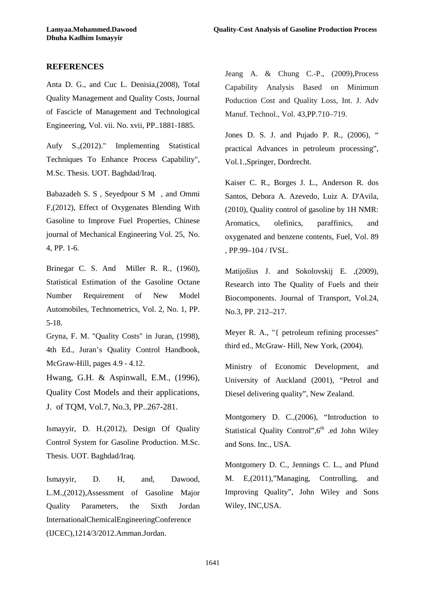## **REFERENCES**

Anta D. G., and Cuc L. Denisia,(2008), Total Quality Management and Quality Costs, Journal of Fascicle of Management and Technological Engineering, Vol. vii. No. xvii, PP..1881-1885.

Aufy S.,(2012)." Implementing Statistical Techniques To Enhance Process Capability", M.Sc. Thesis. UOT. Baghdad/Iraq.

Babazadeh S. S , Seyedpour S M , and Ommi F,(2012), Effect of Oxygenates Blending With Gasoline to Improve Fuel Properties, Chinese journal of Mechanical Engineering Vol. 25, No. 4, PP. 1-6.

Brinegar C. S. And Miller R. R., (1960), Statistical Estimation of the Gasoline Octane Number Requirement of New Model Automobiles, Technometrics, Vol. 2, No. 1, PP. 5-18.

Gryna, F. M. "Quality Costs" in Juran, (1998), 4th Ed., Juran's Quality Control Handbook, McGraw-Hill, pages 4.9 - 4.12.

Hwang, G.H. & Aspinwall, E.M., (1996), Quality Cost Models and their applications, J. of TQM, Vol.7, No.3, PP..267-281.

Ismayyir, D. H.(2012), Design Of Quality Control System for Gasoline Production. M.Sc. Thesis. UOT. Baghdad/Iraq.

Ismayyir, D. H, and, Dawood, L.M.,(2012),Assessment of Gasoline Major Quality Parameters, the Sixth Jordan InternationalChemicalEngineeringConference (IJCEC),1214/3/2012.Amman.Jordan.

Jeang A. & Chung C.-P., (2009),Process Capability Analysis Based on Minimum Poduction Cost and Quality Loss, Int. J. Adv Manuf. Technol., Vol. 43,PP.710–719.

Jones D. S. J. and Pujado P. R., (2006), " practical Advances in petroleum processing", Vol.1.,Springer, Dordrecht.

Kaiser C. R., Borges J. L., Anderson R. dos Santos, Debora A. Azevedo, Luiz A. D'Avila, (2010), Quality control of gasoline by 1H NMR: Aromatics, olefinics, paraffinics, and oxygenated and benzene contents, Fuel, Vol. 89 , PP.99–104 / IVSL.

Matijošius J. and Sokolovskij E. ,(2009), Research into The Quality of Fuels and their Biocomponents. Journal of Transport, Vol.24, No.3, PP. 212–217.

Meyer R. A., "{ petroleum refining processes" third ed., McGraw- Hill, New York, (2004).

Ministry of Economic Development, and University of Auckland (2001), "Petrol and Diesel delivering quality", New Zealand.

Montgomery D. C.,(2006), "Introduction to Statistical Quality Control", 6<sup>th</sup> .ed John Wiley and Sons. Inc., USA.

Montgomery D. C., Jennings C. L., and Pfund M. E,(2011),"Managing, Controlling, and Improving Quality", John Wiley and Sons Wiley, INC,USA.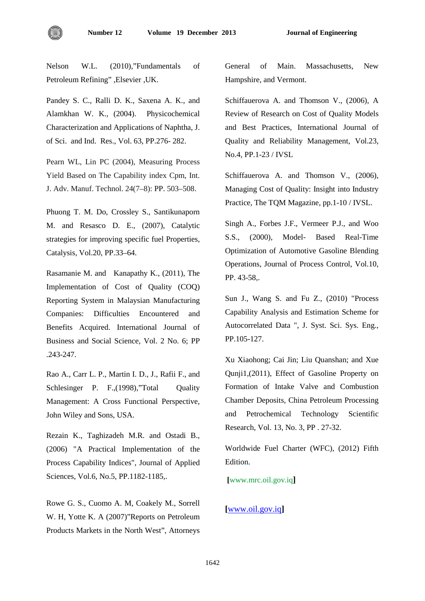

Nelson W.L. (2010),"Fundamentals of Petroleum Refining" ,Elsevier ,UK.

Pandey S. C., Ralli D. K., Saxena A. K., and Alamkhan W. K., (2004). Physicochemical Characterization and Applications of Naphtha, J. of Sci. and Ind. Res., Vol. 63, PP.276- 282.

Pearn WL, Lin PC (2004), Measuring Process Yield Based on The Capability index Cpm, Int. J. Adv. Manuf. Technol. 24(7–8): PP. 503–508.

Phuong T. M. Do, Crossley S., Santikunaporn M. and Resasco D. E., (2007), Catalytic strategies for improving specific fuel Properties, Catalysis, Vol.20, PP.33–64.

Rasamanie M. and Kanapathy K., (2011), The Implementation of Cost of Quality (COQ) Reporting System in Malaysian Manufacturing Companies: Difficulties Encountered and Benefits Acquired. International Journal of Business and Social Science, Vol. 2 No. 6; PP .243-247.

Rao A., Carr L. P., Martin I. D., J., Rafii F., and Schlesinger P. F.,(1998),"Total Quality Management: A Cross Functional Perspective, John Wiley and Sons, USA.

Rezain K., Taghizadeh M.R. and Ostadi B., (2006) "A Practical Implementation of the Process Capability Indices", Journal of Applied Sciences, Vol.6, No.5, PP.1182-1185,.

Rowe G. S., Cuomo A. M, Coakely M., Sorrell W. H, Yotte K. A (2007)"Reports on Petroleum Products Markets in the North West", Attorneys General of Main. Massachusetts, New Hampshire, and Vermont.

Schiffauerova A. and Thomson V., (2006), A Review of Research on Cost of Quality Models and Best Practices, International Journal of Quality and Reliability Management, Vol.23, No.4, PP.1-23 / IVSL

Schiffauerova A. and Thomson V.,  $(2006)$ , Managing Cost of Quality: Insight into Industry Practice, The TQM Magazine, pp.1-10 / IVSL.

Singh A., Forbes J.F., Vermeer P.J., and Woo S.S., (2000), Model- Based Real-Time Optimization of Automotive Gasoline Blending Operations, Journal of Process Control, Vol.10, PP. 43-58,.

Sun J., Wang S. and Fu Z., (2010) "Process Capability Analysis and Estimation Scheme for Autocorrelated Data ", J. Syst. Sci. Sys. Eng., PP.105-127.

Xu Xiaohong; Cai Jin; Liu Quanshan; and Xue Qunji1,(2011), Effect of Gasoline Property on Formation of Intake Valve and Combustion Chamber Deposits, China Petroleum Processing and Petrochemical Technology Scientific Research, Vol. 13, No. 3, PP . 27-32.

Worldwide Fuel Charter (WFC), (2012) Fifth Edition.

**[**www.mrc.oil.gov.iq**]**

#### **[**[www.oil.gov.iq](http://www.oil.gov.iq/)**]**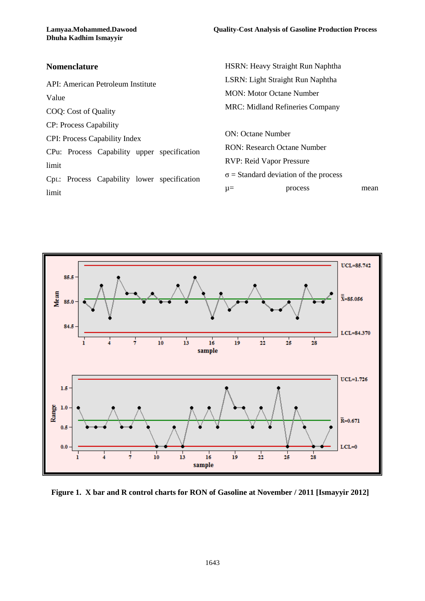HSRN: Heavy Straight Run Naphtha

## **Nomenclature**

API: American Petroleum Institute Value COQ: Cost of Quality CP: Process Capability CPI: Process Capability Index CPu: Process Capability upper specification limit CpL: Process Capability lower specification limit LSRN: Light Straight Run Naphtha MON: Motor Octane Number MRC: Midland Refineries Company ON: Octane Number RON: Research Octane Number RVP: Reid Vapor Pressure  $\sigma$  = Standard deviation of the process  $\mu$  = process mean



**Figure 1. X bar and R control charts for RON of Gasoline at November / 2011 [Ismayyir 2012]**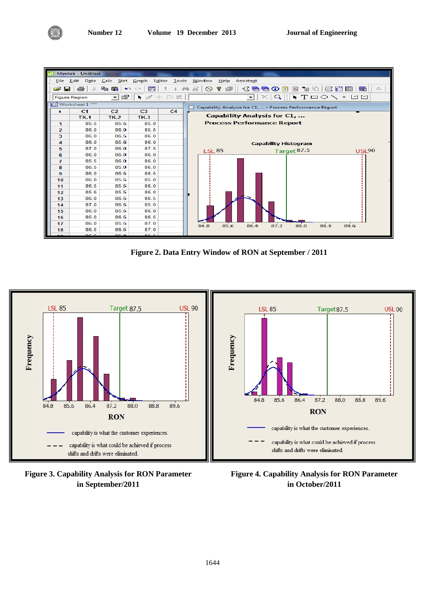

**Figure 2. Data Entry Window of RON at September / 2011** 



**Figure 3. Capability Analysis for RON Parameter in September/2011**

**Figure 4. Capability Analysis for RON Parameter in October/2011**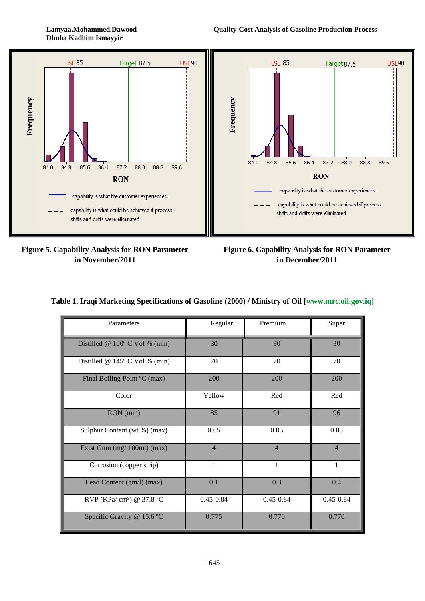**Dhuha Kadhim Ismayyir**



**Figure 5. Capability Analysis for RON Parameter in November/2011**

**Figure 6. Capability Analysis for RON Parameter in December/2011**

|  |  |  |  |  |  |  | Table 1. Iraqi Marketing Specifications of Gasoline (2000) / Ministry of Oil [www.mrc.oil.gov.iq] |
|--|--|--|--|--|--|--|---------------------------------------------------------------------------------------------------|
|--|--|--|--|--|--|--|---------------------------------------------------------------------------------------------------|

| Parameters                              | Regular        | Premium        | Super          |
|-----------------------------------------|----------------|----------------|----------------|
| Distilled @ $100^{\circ}$ C Vol % (min) | 30             | 30             | 30             |
| Distilled @ $145^{\circ}$ C Vol % (min) | 70             | 70             | 70             |
| Final Boiling Point °C (max)            | 200            | 200            | 200            |
| Color                                   | Yellow         | Red            | Red            |
| RON (min)                               | 85             | 91             | 96             |
| Sulphur Content (wt %) (max)            | 0.05           | 0.05           | 0.05           |
| Exist Gum (mg/ 100ml) (max)             | $\overline{4}$ | $\overline{4}$ | $\overline{4}$ |
| Corrosion (copper strip)                | 1              | 1              | $\mathbf{1}$   |
| Lead Content (gm/l) (max)               | 0.1            | 0.3            | 0.4            |
| RVP (KPa/cm <sup>2</sup> ) @ 37.8 °C    | $0.45 - 0.84$  | $0.45 - 0.84$  | $0.45 - 0.84$  |
| Specific Gravity @ 15.6 °C              | 0.775          | 0.770          | 0.770          |